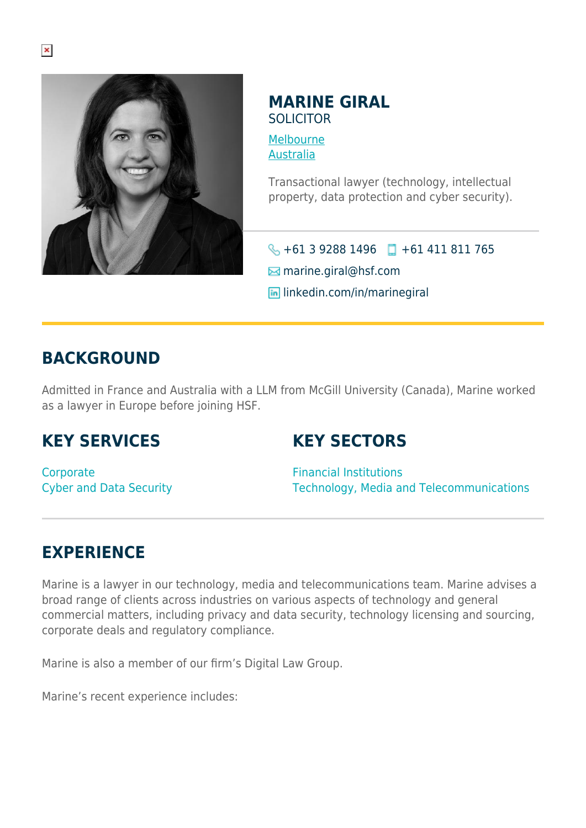

#### **MARINE GIRAL** SOLICITOR

[Melbourne](https://www.herbertsmithfreehills.com/lang-ru/where-we-work/melbourne)

[Australia](https://www.herbertsmithfreehills.com/lang-ru/where-we-work/australia)

Transactional lawyer (technology, intellectual property, data protection and cyber security).

 $\big\{\}$  +61 3 9288 1496 +61 411 811 765

 $\boxtimes$  marine.giral@hsf.com

**in** linkedin.com/in/marinegiral

### **BACKGROUND**

Admitted in France and Australia with a LLM from McGill University (Canada), Marine worked as a lawyer in Europe before joining HSF.

## **KEY SERVICES**

#### **KEY SECTORS**

**Corporate** Cyber and Data Security

Financial Institutions Technology, Media and Telecommunications

# **EXPERIENCE**

Marine is a lawyer in our technology, media and telecommunications team. Marine advises a broad range of clients across industries on various aspects of technology and general commercial matters, including privacy and data security, technology licensing and sourcing, corporate deals and regulatory compliance.

Marine is also a member of our firm's Digital Law Group.

Marine's recent experience includes: